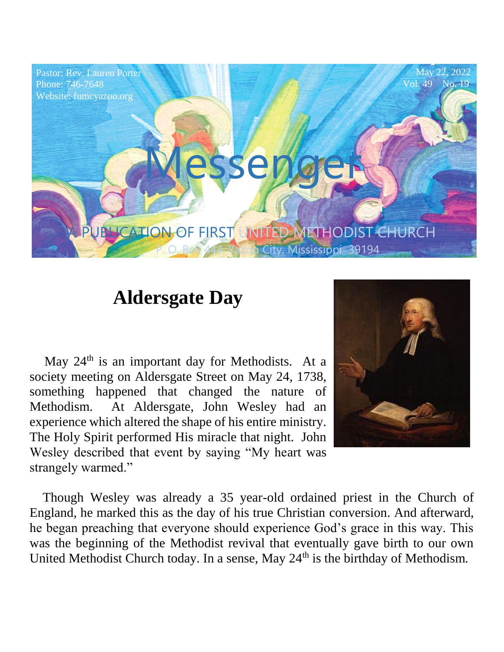

# **Aldersgate Day**

May  $24<sup>th</sup>$  is an important day for Methodists. At a society meeting on Aldersgate Street on May 24, 1738, something happened that changed the nature of Methodism. At Aldersgate, John Wesley had an experience which altered the shape of his entire ministry. The Holy Spirit performed His miracle that night. John Wesley described that event by saying "My heart was strangely warmed."



 Though Wesley was already a 35 year-old ordained priest in the Church of England, he marked this as the day of his true Christian conversion. And afterward, he began preaching that everyone should experience God's grace in this way. This was the beginning of the Methodist revival that eventually gave birth to our own United Methodist Church today. In a sense, May  $24<sup>th</sup>$  is the birthday of Methodism.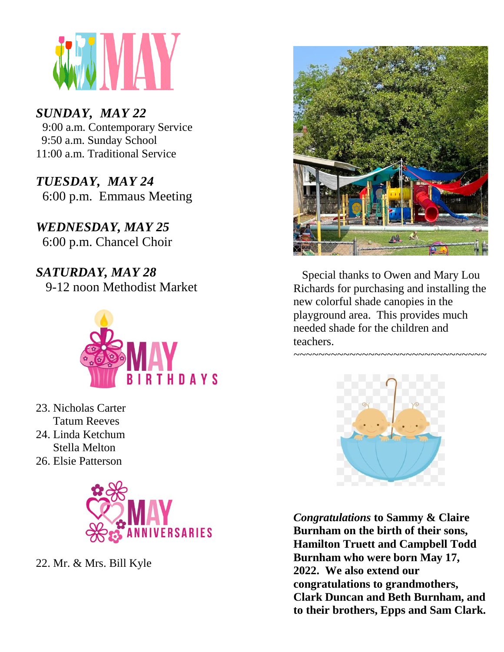

## *SUNDAY, MAY 22*

9:00 a.m. Contemporary Service 9:50 a.m. Sunday School 11:00 a.m. Traditional Service

Pastor: Rev. Lauren Porter  $\mathbf{F} \mathbf{D} \mathbf{A} \mathbf{V}$   $\mathbf{M} \mathbf{A} \mathbf{V} \mathbf{A}$  $\frac{20.66611}{200}$  p.m. Emmaus Meeting *TUESDAY, MAY 24*

Phone: 746-7648 *WEDNESDAY, MAY 25* 6:00 p.m. Chancel Choir

*SATURDAY, MAY 28*

9-12 noon Methodist Market



- 23. Nicholas Carter Tatum Reeves
- 24. Linda Ketchum Stella Melton
- 26. Elsie Patterson



22. Mr. & Mrs. Bill Kyle



 Special thanks to Owen and Mary Lou Richards for purchasing and installing the new colorful shade canopies in the playground area. This provides much needed shade for the children and teachers.

*~~~~~~~~~~~~~~~~~~~~~~~~~~~~~~~*



*Congratulations* **to Sammy & Claire Burnham on the birth of their sons, Hamilton Truett and Campbell Todd Burnham who were born May 17, 2022. We also extend our congratulations to grandmothers, Clark Duncan and Beth Burnham, and to their brothers, Epps and Sam Clark.**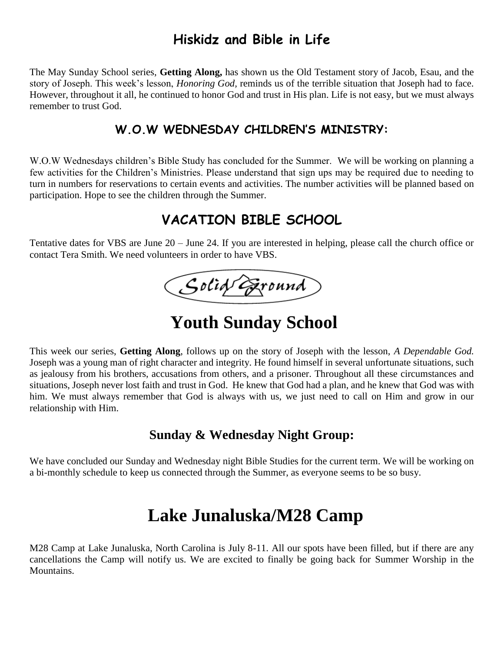## **Hiskidz and Bible in Life**

The May Sunday School series, **Getting Along,** has shown us the Old Testament story of Jacob, Esau, and the story of Joseph. This week's lesson, *Honoring God,* reminds us of the terrible situation that Joseph had to face. However, throughout it all, he continued to honor God and trust in His plan. Life is not easy, but we must always remember to trust God.

#### **W.O.W WEDNESDAY CHILDREN'S MINISTRY:**

W.O.W Wednesdays children's Bible Study has concluded for the Summer. We will be working on planning a few activities for the Children's Ministries. Please understand that sign ups may be required due to needing to turn in numbers for reservations to certain events and activities. The number activities will be planned based on participation. Hope to see the children through the Summer.

## **VACATION BIBLE SCHOOL**

Tentative dates for VBS are June 20 – June 24. If you are interested in helping, please call the church office or contact Tera Smith. We need volunteers in order to have VBS.

Solid Eround

# **Youth Sunday School**

This week our series, **Getting Along**, follows up on the story of Joseph with the lesson, *A Dependable God.*  Joseph was a young man of right character and integrity. He found himself in several unfortunate situations, such as jealousy from his brothers, accusations from others, and a prisoner. Throughout all these circumstances and situations, Joseph never lost faith and trust in God. He knew that God had a plan, and he knew that God was with him. We must always remember that God is always with us, we just need to call on Him and grow in our relationship with Him.

#### **Sunday & Wednesday Night Group:**

We have concluded our Sunday and Wednesday night Bible Studies for the current term. We will be working on a bi-monthly schedule to keep us connected through the Summer, as everyone seems to be so busy.

# **Lake Junaluska/M28 Camp**

M28 Camp at Lake Junaluska, North Carolina is July 8-11. All our spots have been filled, but if there are any cancellations the Camp will notify us. We are excited to finally be going back for Summer Worship in the Mountains.